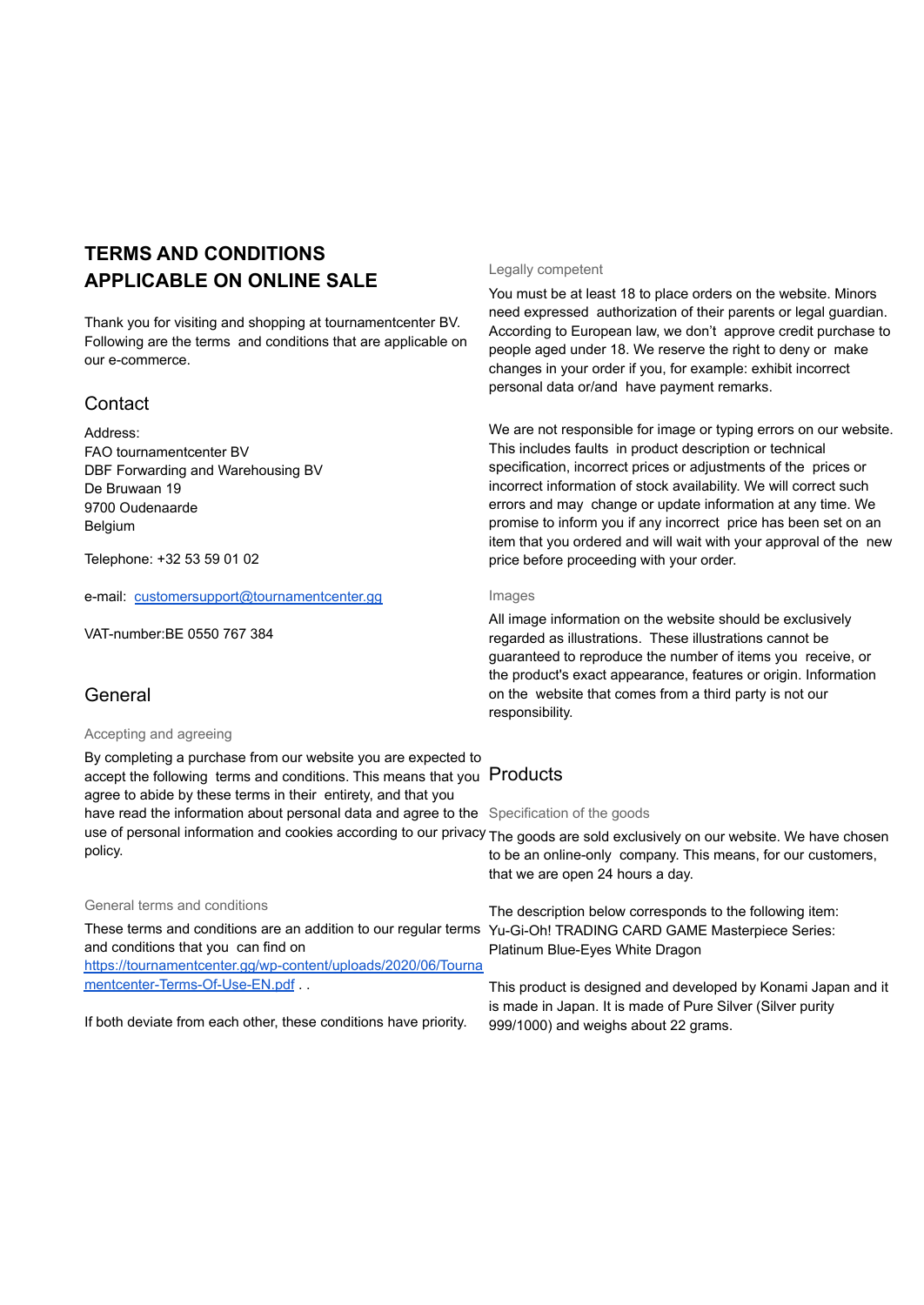# **TERMS AND CONDITIONS APPLICABLE ON ONLINE SALE**

Thank you for visiting and shopping at tournamentcenter BV. Following are the terms and conditions that are applicable on our e-commerce.

# **Contact**

Address: FAO tournamentcenter BV DBF Forwarding and Warehousing BV De Bruwaan 19 9700 Oudenaarde Belgium

Telephone: +32 53 59 01 02

e-mail: [customersupport@tournamentcenter.gg](mailto:customersupport@tournamentcenter.gg)

VAT-number:BE 0550 767 384

# General

## Accepting and agreeing

By completing a purchase from our website you are expected to accept the following terms and conditions. This means that you Products agree to abide by these terms in their entirety, and that you have read the information about personal data and agree to the Specification of the goods use of personal information and cookies according to our privacy The goods are sold exclusively on our website. We have chosen policy.

## General terms and conditions

These terms and conditions are an addition to our regular terms and conditions that you can find on [https://tournamentcenter.gg/wp-content/uploads/2020/06/Tourna](https://tournamentcenter.gg/wp-content/uploads/2020/06/Tournamentcenter-Terms-Of-Use-EN.pdf) [mentcenter-Terms-Of-Use-EN.pdf](https://tournamentcenter.gg/wp-content/uploads/2020/06/Tournamentcenter-Terms-Of-Use-EN.pdf) ...

If both deviate from each other, these conditions have priority.

# Legally competent

You must be at least 18 to place orders on the website. Minors need expressed authorization of their parents or legal guardian. According to European law, we don't approve credit purchase to people aged under 18. We reserve the right to deny or make changes in your order if you, for example: exhibit incorrect personal data or/and have payment remarks.

We are not responsible for image or typing errors on our website. This includes faults in product description or technical specification, incorrect prices or adjustments of the prices or incorrect information of stock availability. We will correct such errors and may change or update information at any time. We promise to inform you if any incorrect price has been set on an item that you ordered and will wait with your approval of the new price before proceeding with your order.

#### Images

All image information on the website should be exclusively regarded as illustrations. These illustrations cannot be guaranteed to reproduce the number of items you receive, or the product's exact appearance, features or origin. Information on the website that comes from a third party is not our responsibility.

to be an online-only company. This means, for our customers, that we are open 24 hours a day.

The description below corresponds to the following item: Yu-Gi-Oh! TRADING CARD GAME Masterpiece Series: Platinum Blue-Eyes White Dragon

This product is designed and developed by Konami Japan and it is made in Japan. It is made of Pure Silver (Silver purity 999/1000) and weighs about 22 grams.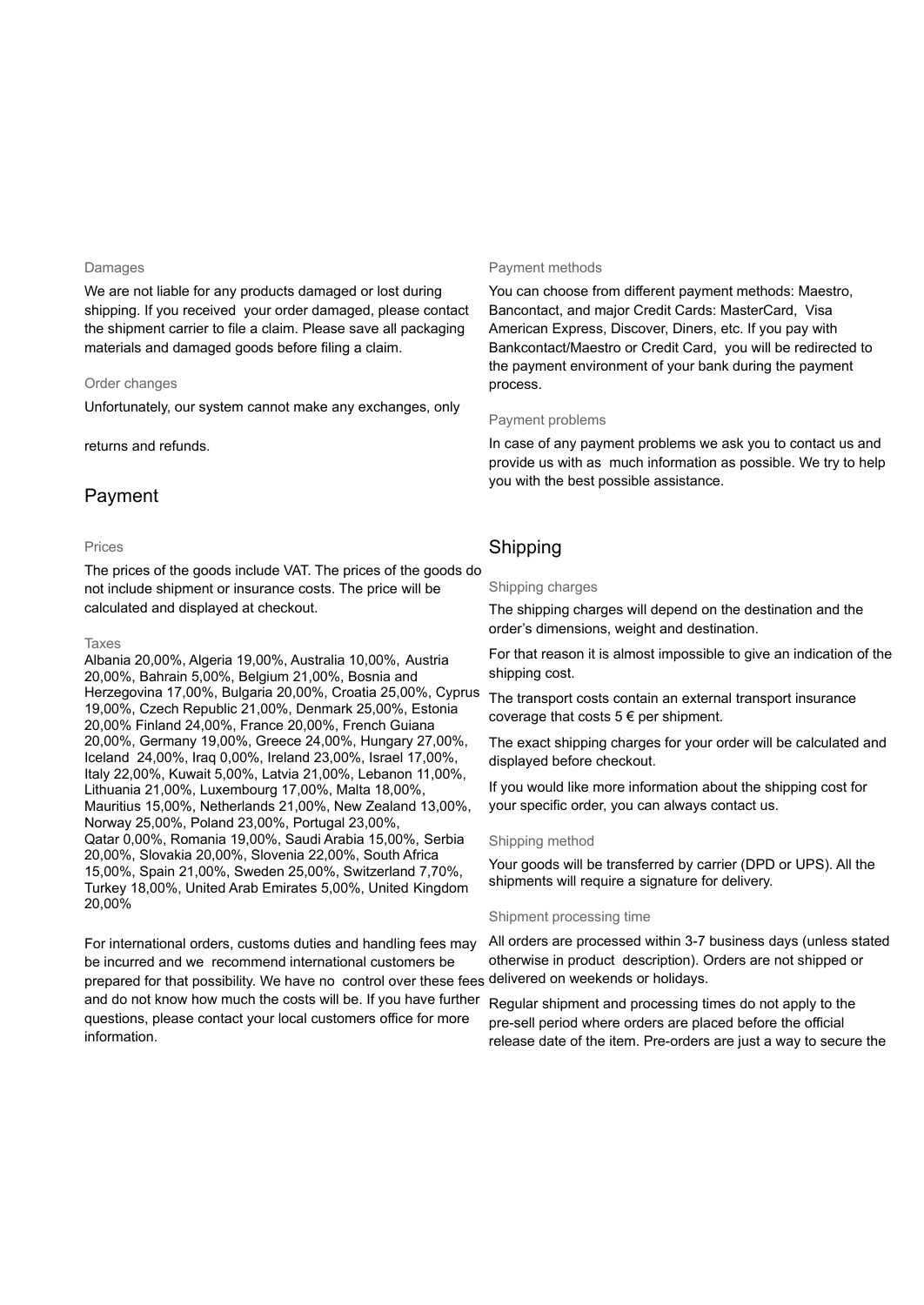#### Damages

We are not liable for any products damaged or lost during shipping. If you received your order damaged, please contact the shipment carrier to file a claim. Please save all packaging materials and damaged goods before filing a claim.

## Order changes

Unfortunately, our system cannot make any exchanges, only

### returns and refunds.

# Payment

#### Prices

The prices of the goods include VAT. The prices of the goods do not include shipment or insurance costs. The price will be calculated and displayed at checkout.

#### Taxes

Albania 20,00%, Algeria 19,00%, Australia 10,00%, Austria 20,00%, Bahrain 5,00%, Belgium 21,00%, Bosnia and Herzegovina 17,00%, Bulgaria 20,00%, Croatia 25,00%, Cyprus 19,00%, Czech Republic 21,00%, Denmark 25,00%, Estonia 20,00% Finland 24,00%, France 20,00%, French Guiana 20,00%, Germany 19,00%, Greece 24,00%, Hungary 27,00%, Iceland 24,00%, Iraq 0,00%, Ireland 23,00%, Israel 17,00%, Italy 22,00%, Kuwait 5,00%, Latvia 21,00%, Lebanon 11,00%, Lithuania 21,00%, Luxembourg 17,00%, Malta 18,00%, Mauritius 15,00%, Netherlands 21,00%, New Zealand 13,00%, Norway 25,00%, Poland 23,00%, Portugal 23,00%, Qatar 0,00%, Romania 19,00%, Saudi Arabia 15,00%, Serbia 20,00%, Slovakia 20,00%, Slovenia 22,00%, South Africa 15,00%, Spain 21,00%, Sweden 25,00%, Switzerland 7,70%, Turkey 18,00%, United Arab Emirates 5,00%, United Kingdom 20,00%

For international orders, customs duties and handling fees may be incurred and we recommend international customers be prepared for that possibility. We have no control over these fees delivered on weekends or holidays. and do not know how much the costs will be. If you have further questions, please contact your local customers office for more information.

## Payment methods

You can choose from different payment methods: Maestro, Bancontact, and major Credit Cards: MasterCard, Visa American Express, Discover, Diners, etc. If you pay with Bankcontact/Maestro or Credit Card, you will be redirected to the payment environment of your bank during the payment process.

#### Payment problems

In case of any payment problems we ask you to contact us and provide us with as much information as possible. We try to help you with the best possible assistance.

# Shipping

#### Shipping charges

The shipping charges will depend on the destination and the order's dimensions, weight and destination.

For that reason it is almost impossible to give an indication of the shipping cost.

The transport costs contain an external transport insurance coverage that costs  $5 \in \text{per}$  shipment.

The exact shipping charges for your order will be calculated and displayed before checkout.

If you would like more information about the shipping cost for your specific order, you can always contact us.

#### Shipping method

Your goods will be transferred by carrier (DPD or UPS). All the shipments will require a signature for delivery.

#### Shipment processing time

All orders are processed within 3-7 business days (unless stated otherwise in product description). Orders are not shipped or

Regular shipment and processing times do not apply to the pre-sell period where orders are placed before the official release date of the item. Pre-orders are just a way to secure the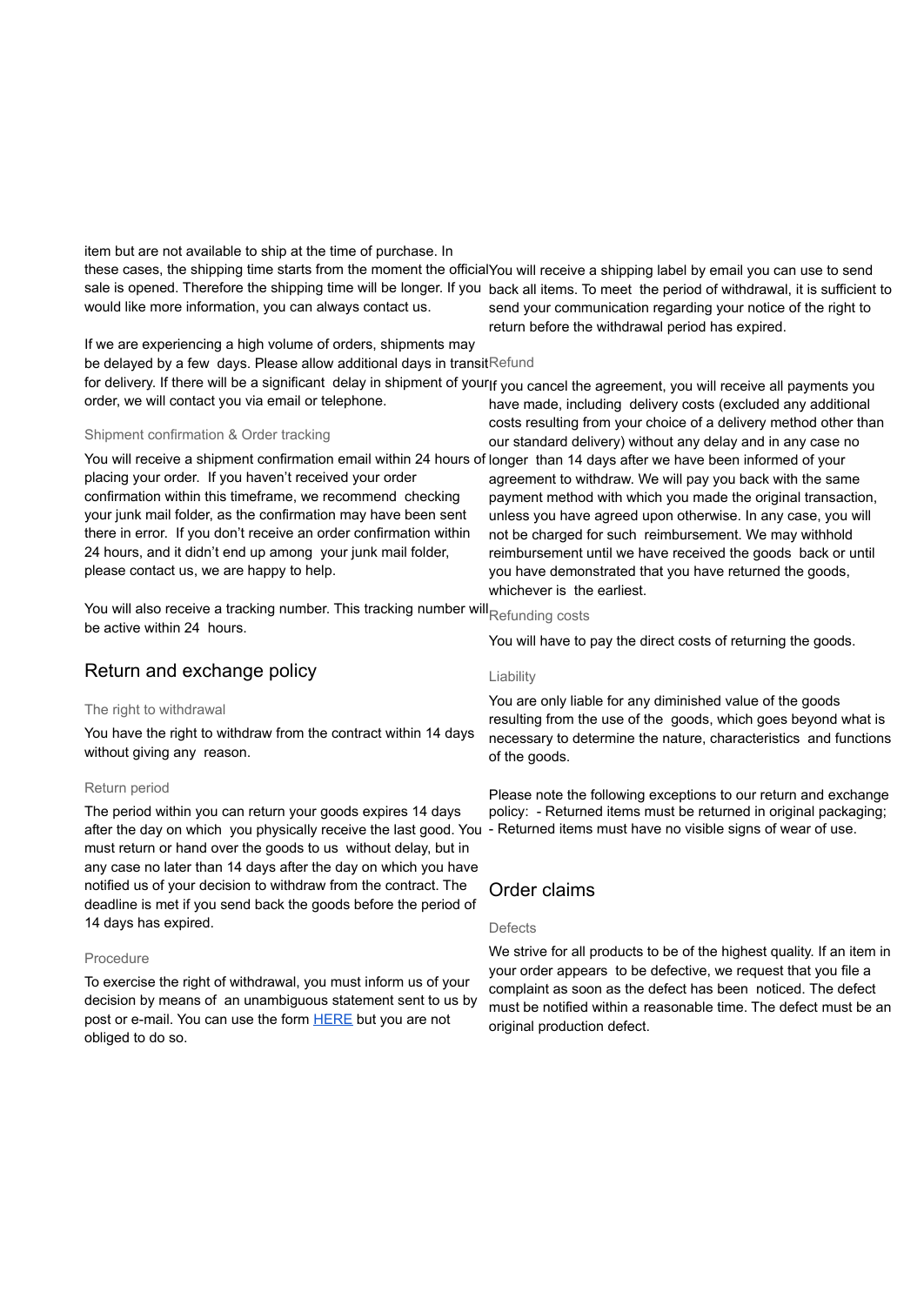item but are not available to ship at the time of purchase. In these cases, the shipping time starts from the moment the official You will receive a shipping label by email you can use to send sale is opened. Therefore the shipping time will be longer. If you back all items. To meet the period of withdrawal, it is sufficient to would like more information, you can always contact us. send your communication regarding your notice of the right to

If we are experiencing a high volume of orders, shipments may be delayed by a few days. Please allow additional days in transit<sup>Refund</sup> for delivery. If there will be a significant delay in shipment of your|f you cancel the agreement, you will receive all payments you order, we will contact you via email or telephone.

## Shipment confirmation & Order tracking

You will receive a shipment confirmation email within 24 hours of longer than 14 days after we have been informed of your placing your order. If you haven't received your order confirmation within this timeframe, we recommend checking your junk mail folder, as the confirmation may have been sent there in error. If you don't receive an order confirmation within 24 hours, and it didn't end up among your junk mail folder, please contact us, we are happy to help.

You will also receive a tracking number. This tracking number will Refunding costs be active within 24 hours.

# Return and exchange policy

# The right to withdrawal

You have the right to withdraw from the contract within 14 days without giving any reason.

## Return period

The period within you can return your goods expires 14 days after the day on which you physically receive the last good. You - Returned items must have no visible signs of wear of use. must return or hand over the goods to us without delay, but in any case no later than 14 days after the day on which you have notified us of your decision to withdraw from the contract. The deadline is met if you send back the goods before the period of 14 days has expired.

# Procedure

To exercise the right of withdrawal, you must inform us of your decision by means of an unambiguous statement sent to us by post or e-mail. You can use the form [HERE](https://drive.google.com/file/d/1940WH86XMNe4zBMhqNVZhySzhHhA3gJm/view?usp=sharing) but you are not obliged to do so.

have made, including delivery costs (excluded any additional costs resulting from your choice of a delivery method other than

return before the withdrawal period has expired.

our standard delivery) without any delay and in any case no agreement to withdraw. We will pay you back with the same payment method with which you made the original transaction, unless you have agreed upon otherwise. In any case, you will not be charged for such reimbursement. We may withhold reimbursement until we have received the goods back or until you have demonstrated that you have returned the goods, whichever is the earliest.

You will have to pay the direct costs of returning the goods.

## Liability

You are only liable for any diminished value of the goods resulting from the use of the goods, which goes beyond what is necessary to determine the nature, characteristics and functions of the goods.

Please note the following exceptions to our return and exchange policy: - Returned items must be returned in original packaging;

# Order claims

## Defects

We strive for all products to be of the highest quality. If an item in your order appears to be defective, we request that you file a complaint as soon as the defect has been noticed. The defect must be notified within a reasonable time. The defect must be an original production defect.